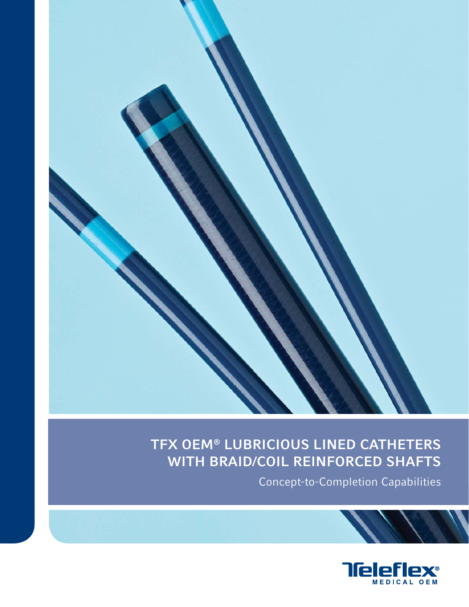

# TFX OEM® LUBRICIOUS LINED CATHETERS WITH BRAID/COIL REINFORCED SHAFTS

Concept-to-Completion Capabilities

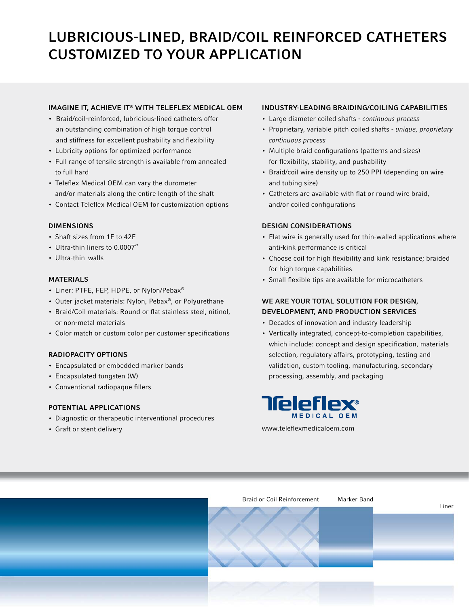# LUBRICIOUS-LINED, BRAID/COIL REINFORCED CATHETERS CUSTOMIZED TO YOUR APPLICATION

## IMAGINE IT, ACHIEVE IT® WITH TELEFLEX MEDICAL OEM

- Braid/coil-reinforced, lubricious-lined catheters offer an outstanding combination of high torque control and stiffness for excellent pushability and flexibility
- Lubricity options for optimized performance
- Full range of tensile strength is available from annealed to full hard
- Teleflex Medical OEM can vary the durometer and/or materials along the entire length of the shaft
- Contact Teleflex Medical OEM for customization options

#### DIMENSIONS

- Shaft sizes from 1F to 42F
- Ultra-thin liners to 0.0007"
- Ultra-thin walls

#### MATERIALS

- Liner: PTFE, FEP, HDPE, or Nylon/Pebax®
- Outer jacket materials: Nylon, Pebax®, or Polyurethane
- Braid/Coil materials: Round or flat stainless steel, nitinol, or non-metal materials
- Color match or custom color per customer specifications

### RADIOPACITY OPTIONS

- Encapsulated or embedded marker bands
- Encapsulated tungsten (W)
- Conventional radiopaque fillers

### POTENTIAL APPLICATIONS

- Diagnostic or therapeutic interventional procedures
- Graft or stent delivery

### INDUSTRY-LEADING BRAIDING/COILING CAPABILITIES

- Large diameter coiled shafts continuous process
- Proprietary, variable pitch coiled shafts unique, proprietary continuous process
- Multiple braid configurations (patterns and sizes) for flexibility, stability, and pushability
- Braid/coil wire density up to 250 PPI (depending on wire and tubing size)
- Catheters are available with flat or round wire braid, and/or coiled configurations

### DESIGN CONSIDERATIONS

- Flat wire is generally used for thin-walled applications where anti-kink performance is critical
- Choose coil for high flexibility and kink resistance; braided for high torque capabilities
- Small flexible tips are available for microcatheters

### WE ARE YOUR TOTAL SOLUTION FOR DESIGN, DEVELOPMENT, AND PRODUCTION SERVICES

- Decades of innovation and industry leadership
- Vertically integrated, concept-to-completion capabilities, which include: concept and design specification, materials selection, regulatory affairs, prototyping, testing and validation, custom tooling, manufacturing, secondary processing, assembly, and packaging



www.teleflexmedicaloem.com

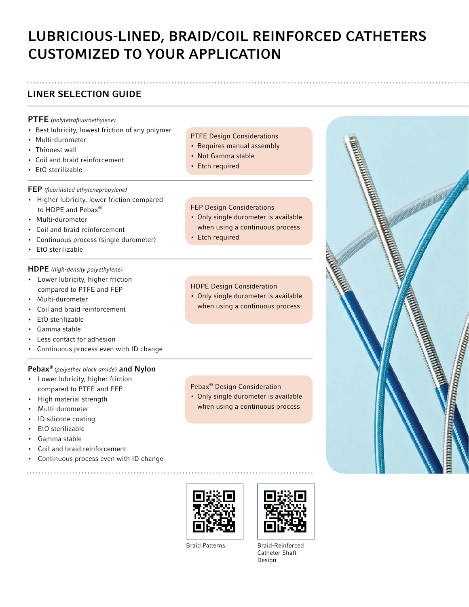# LUBRICIOUS-LINED, BRAID/COIL REINFORCED CATHETERS CUSTOMIZED TO YOUR APPLICATION

# LINER SELECTION GUIDE

## PTFE (polytetrafluoroethylene)

- Best lubricity, lowest friction of any polymer
- Multi-durometer
- Thinnest wall
- Coil and braid reinforcement
- EtO sterilizable

### FEP (fluorinated ethylenepropylene)

- Higher lubricity, lower friction compared to HDPE and Pebax®
- Multi-durometer
- Coil and braid reinforcement
- Continuous process (single durometer)
- EtO sterilizable

### HDPE (high-density polyethylene)

- Lower lubricity, higher friction compared to PTFE and FEP
- Multi-durometer
- Coil and braid reinforcement
- EtO sterilizable
- Gamma stable
- Less contact for adhesion
- Continuous process even with ID change

### Pebax® (polyether block amide) and Nylon

- Lower lubricity, higher friction compared to PTFE and FEP
- High material strength
- Multi-durometer
- ID silicone coating
- EtO sterilizable
- Gamma stable
- Coil and braid reinforcement
- Continuous process even with ID change

PTFE Design Considerations

- Requires manual assembly
- Not Gamma stable
- Etch required

#### FEP Design Considerations

- Only single durometer is available when using a continuous process
- Etch required

## HDPE Design Consideration

• Only single durometer is available when using a continuous process

## Pebax® Design Consideration

• Only single durometer is available when using a continuous process





Braid Patterns Braid-Reinforced Catheter Shaft Design